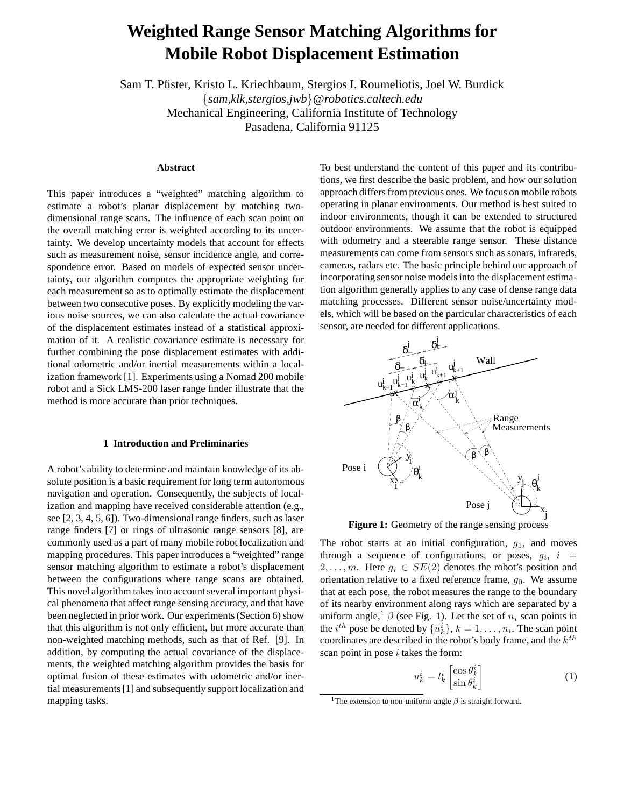# **Weighted Range Sensor Matching Algorithms for Mobile Robot Displacement Estimation**

Sam T. Pfister, Kristo L. Kriechbaum, Stergios I. Roumeliotis, Joel W. Burdick {*sam,klk,stergios,jwb*}*@robotics.caltech.edu* Mechanical Engineering, California Institute of Technology Pasadena, California 91125

# **Abstract**

This paper introduces a "weighted" matching algorithm to estimate a robot's planar displacement by matching twodimensional range scans. The influence of each scan point on the overall matching error is weighted according to its uncertainty. We develop uncertainty models that account for effects such as measurement noise, sensor incidence angle, and correspondence error. Based on models of expected sensor uncertainty, our algorithm computes the appropriate weighting for each measurement so as to optimally estimate the displacement between two consecutive poses. By explicitly modeling the various noise sources, we can also calculate the actual covariance of the displacement estimates instead of a statistical approximation of it. A realistic covariance estimate is necessary for further combining the pose displacement estimates with additional odometric and/or inertial measurements within a localization framework [1]. Experiments using a Nomad 200 mobile robot and a Sick LMS-200 laser range finder illustrate that the method is more accurate than prior techniques.

# **1 Introduction and Preliminaries**

A robot's ability to determine and maintain knowledge of its absolute position is a basic requirement for long term autonomous navigation and operation. Consequently, the subjects of localization and mapping have received considerable attention (e.g., see [2, 3, 4, 5, 6]). Two-dimensional range finders, such as laser range finders [7] or rings of ultrasonic range sensors [8], are commonly used as a part of many mobile robot localization and mapping procedures. This paper introduces a "weighted" range sensor matching algorithm to estimate a robot's displacement between the configurations where range scans are obtained. This novel algorithm takes into account several important physical phenomena that affect range sensing accuracy, and that have been neglected in prior work. Our experiments(Section 6) show that this algorithm is not only efficient, but more accurate than non-weighted matching methods, such as that of Ref. [9]. In addition, by computing the actual covariance of the displacements, the weighted matching algorithm provides the basis for optimal fusion of these estimates with odometric and/or inertial measurements[1] and subsequently support localization and mapping tasks.

To best understand the content of this paper and its contributions, we first describe the basic problem, and how our solution approach differs from previous ones. We focus on mobile robots operating in planar environments. Our method is best suited to indoor environments, though it can be extended to structured outdoor environments. We assume that the robot is equipped with odometry and a steerable range sensor. These distance measurements can come from sensors such as sonars, infrareds, cameras, radars etc. The basic principle behind our approach of incorporating sensor noise modelsinto the displacement estimation algorithm generally applies to any case of dense range data matching processes. Different sensor noise/uncertainty models, which will be based on the particular characteristics of each sensor, are needed for different applications.



**Figure 1:** Geometry of the range sensing process

The robot starts at an initial configuration,  $g_1$ , and moves through a sequence of configurations, or poses,  $g_i$ ,  $i =$  $2, \ldots, m$ . Here  $g_i \in SE(2)$  denotes the robot's position and orientation relative to a fixed reference frame,  $g_0$ . We assume that at each pose, the robot measures the range to the boundary of its nearby environment along rays which are separated by a uniform angle,<sup>1</sup>  $\beta$  (see Fig. 1). Let the set of  $n_i$  scan points in the *i*<sup>th</sup> pose be denoted by  $\{u_k^i\}$ ,  $k = 1, \ldots, n_i$ . The scan point coordinates are described in the robot's body frame, and the  $k^{th}$ scan point in pose  $i$  takes the form:

$$
u_k^i = l_k^i \begin{bmatrix} \cos \theta_k^i \\ \sin \theta_k^i \end{bmatrix} \tag{1}
$$

<sup>&</sup>lt;sup>1</sup>The extension to non-uniform angle  $\beta$  is straight forward.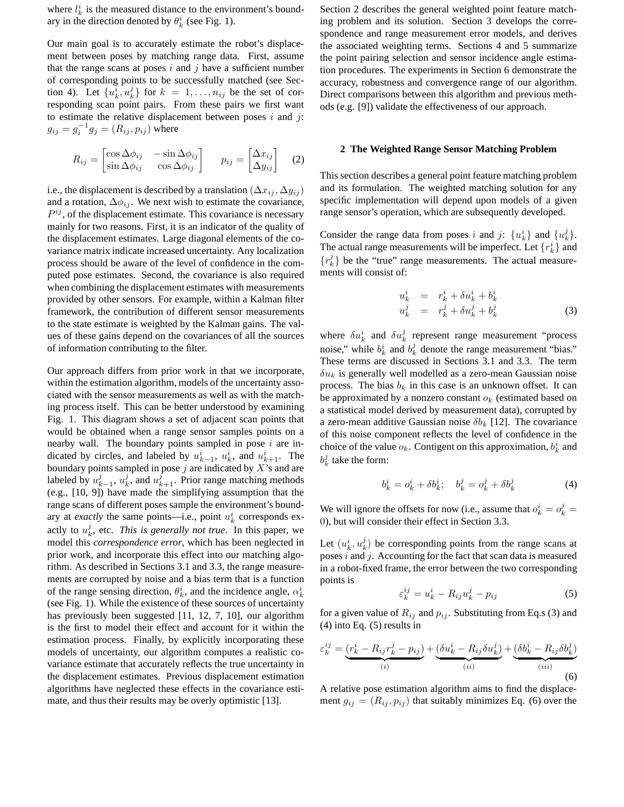where  $l_k^i$  is the measured distance to the environment's boundary in the direction denoted by  $\theta_k^i$  (see Fig. 1).

Our main goal is to accurately estimate the robot's displacement between poses by matching range data. First, assume that the range scans at poses  $i$  and  $j$  have a sufficient number of corresponding points to be successfully matched (see Section 4). Let  $\{u_k^i, u_k^j\}$  for  $k = 1, \ldots, n_{ij}$  be the set of corresponding scan point pairs. From these pairs we first want to estimate the relative displacement between poses  $i$  and  $j$ :  $g_{ij} = g_i^{-1} g_j = (R_{ij}, p_{ij})$  where

$$
R_{ij} = \begin{bmatrix} \cos \Delta \phi_{ij} & -\sin \Delta \phi_{ij} \\ \sin \Delta \phi_{ij} & \cos \Delta \phi_{ij} \end{bmatrix} \qquad p_{ij} = \begin{bmatrix} \Delta x_{ij} \\ \Delta y_{ij} \end{bmatrix} \qquad (2)
$$

i.e., the displacement is described by a translation  $(\Delta x_{ij}, \Delta y_{ij})$ and a rotation,  $\Delta \phi_{ij}$ . We next wish to estimate the covariance,  $P^{ij}$ , of the displacement estimate. This covariance is necessary mainly for two reasons. First, it is an indicator of the quality of the displacement estimates. Large diagonal elements of the covariance matrix indicate increased uncertainty. Any localization process should be aware of the level of confidence in the computed pose estimates. Second, the covariance is also required when combining the displacement estimates with measurements provided by other sensors. For example, within a Kalman filter framework, the contribution of different sensor measurements to the state estimate is weighted by the Kalman gains. The values of these gains depend on the covariances of all the sources of information contributing to the filter.

Our approach differs from prior work in that we incorporate, within the estimation algorithm, models of the uncertainty associated with the sensor measurements as well as with the matching process itself. This can be better understood by examining Fig. 1. This diagram shows a set of adjacent scan points that would be obtained when a range sensor samples points on a nearby wall. The boundary points sampled in pose  $i$  are indicated by circles, and labeled by  $u_{k-1}^i$ ,  $u_k^i$ , and  $u_{k+1}^i$ . The boundary points sampled in pose  $j$  are indicated by  $X$ 's and are labeled by  $u_{k-1}^j$ ,  $u_k^j$ , and  $u_{k+1}^j$ . Prior range matching methods (e.g., [10, 9]) have made the simplifying assumption that the range scans of different poses sample the environment's boundary at *exactly* the same points—i.e., point  $u_k^i$  corresponds exactly to  $u_k^j$ , etc. *This is generally not true*. In this paper, we model this *correspondence error*, which has been neglected in prior work, and incorporate this effect into our matching algorithm. As described in Sections 3.1 and 3.3, the range measurements are corrupted by noise and a bias term that is a function of the range sensing direction,  $\theta_k^i$ , and the incidence angle,  $\alpha_k^i$ (see Fig. 1). While the existence of these sources of uncertainty has previously been suggested [11, 12, 7, 10], our algorithm is the first to model their effect and account for it within the estimation process. Finally, by explicitly incorporating these models of uncertainty, our algorithm computes a realistic covariance estimate that accurately reflects the true uncertainty in the displacement estimates. Previous displacement estimation algorithms have neglected these effects in the covariance estimate, and thus their results may be overly optimistic [13].

Section 2 describes the general weighted point feature matching problem and its solution. Section 3 develops the correspondence and range measurement error models, and derives the associated weighting terms. Sections 4 and 5 summarize the point pairing selection and sensor incidence angle estimation procedures. The experiments in Section 6 demonstrate the accuracy, robustness and convergence range of our algorithm. Direct comparisons between this algorithm and previous methods (e.g. [9]) validate the effectiveness of our approach.

# **2 The Weighted Range Sensor Matching Problem**

This section describes a general point feature matching problem and its formulation. The weighted matching solution for any specific implementation will depend upon models of a given range sensor's operation, which are subsequently developed.

Consider the range data from poses i and j:  $\{u_k^i\}$  and  $\{u_k^j\}$ . The actual range measurements will be imperfect. Let  $\{r_k^i\}$  and  ${r_k^j}$  be the "true" range measurements. The actual measurements will consist of:

$$
u_k^i = r_k^i + \delta u_k^i + b_k^i
$$
  
\n
$$
u_k^j = r_k^j + \delta u_k^j + b_k^j
$$
\n(3)

where  $\delta u_k^i$  and  $\delta u_k^j$  represent range measurement "process noise," while  $b_k^i$  and  $b_k^j$  denote the range measurement "bias." These terms are discussed in Sections 3.1 and 3.3. The term  $\delta u_k$  is generally well modelled as a zero-mean Gaussian noise process. The bias  $b_k$  in this case is an unknown offset. It can be approximated by a nonzero constant  $o_k$  (estimated based on a statistical model derived by measurement data), corrupted by a zero-mean additive Gaussian noise  $\delta b_k$  [12]. The covariance of this noise component reflects the level of confidence in the choice of the value  $o_k$ . Contigent on this approximation,  $b_k^i$  and  $b_k^j$  take the form:

$$
b_k^i = o_k^i + \delta b_k^i; \quad b_k^j = o_k^j + \delta b_k^j \tag{4}
$$

We will ignore the offsets for now (i.e., assume that  $o_k^i = o_k^j =$ 0), but will consider their effect in Section 3.3.

Let  $(u_k^i, u_k^j)$  be corresponding points from the range scans at poses  $i$  and  $j$ . Accounting for the fact that scan data is measured in a robot-fixed frame, the error between the two corresponding points is

$$
\varepsilon_k^{ij} = u_k^i - R_{ij}u_k^j - p_{ij} \tag{5}
$$

for a given value of  $R_{ij}$  and  $p_{ij}$ . Substituting from Eq.s (3) and (4) into Eq. (5) results in

$$
\varepsilon_k^{ij} = \underbrace{(r_k^i - R_{ij}r_k^j - p_{ij})}_{(i)} + \underbrace{( \delta u_k^i - R_{ij} \delta u_k^j)}_{(ii)} + \underbrace{(\delta b_k^i - R_{ij} \delta b_k^j)}_{(iii)}
$$
(6)

A relative pose estimation algorithm aims to find the displacement  $g_{ij} = (R_{ij}, p_{ij})$  that suitably minimizes Eq. (6) over the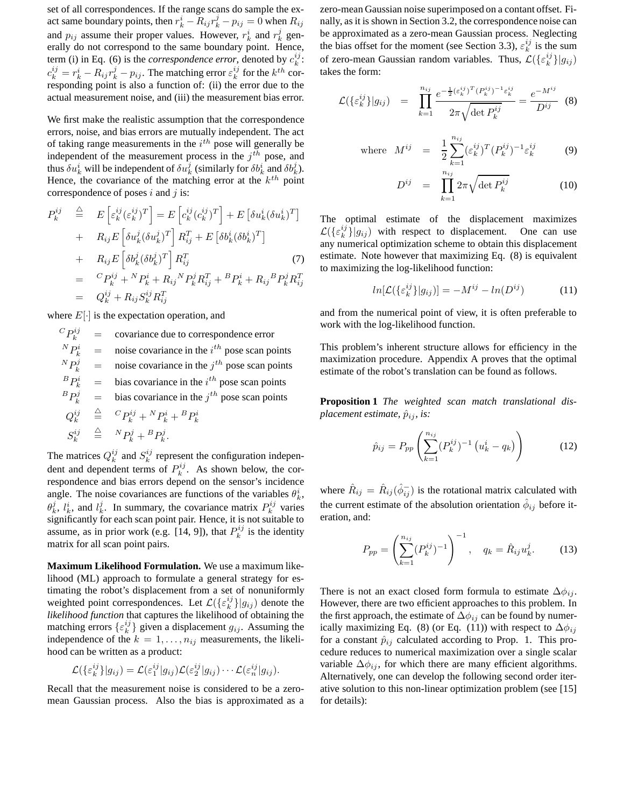set of all correspondences. If the range scans do sample the exact same boundary points, then  $r_k^i - R_{ij}r_k^j - p_{ij} = 0$  when  $R_{ij}$ and  $p_{ij}$  assume their proper values. However,  $r_k^i$  and  $r_k^j$  generally do not correspond to the same boundary point. Hence, term (i) in Eq. (6) is the *correspondence error*, denoted by  $c_k^{ij}$ :  $c_k^{ij} = r_k^i - R_{ij}r_k^j - p_{ij}$ . The matching error  $\varepsilon_k^{ij}$  for the  $k^{th}$  corresponding point is also a function of: (ii) the error due to the actual measurement noise, and (iii) the measurement bias error.

We first make the realistic assumption that the correspondence errors, noise, and bias errors are mutually independent. The act of taking range measurements in the  $i^{th}$  pose will generally be independent of the measurement process in the  $j<sup>th</sup>$  pose, and thus  $\delta u_k^i$  will be independent of  $\delta u_k^j$  (similarly for  $\delta b_k^i$  and  $\delta b_k^j$ ). Hence, the covariance of the matching error at the  $k^{th}$  point correspondence of poses i and j is:

$$
P_k^{ij} \triangleq E\left[\varepsilon_k^{ij}(\varepsilon_k^{ij})^T\right] = E\left[c_k^{ij}(c_k^{ij})^T\right] + E\left[\delta u_k^i(\delta u_k^i)^T\right]
$$
  
+ 
$$
R_{ij}E\left[\delta u_k^j(\delta u_k^j)^T\right]R_{ij}^T + E\left[\delta b_k^i(\delta b_k^i)^T\right]
$$
  
+ 
$$
R_{ij}E\left[\delta b_k^j(\delta b_k^j)^T\right]R_{ij}^T \qquad (7)
$$
  
= 
$$
{}^C P_k^{ij} + {}^N P_k^i + R_{ij} {}^N P_k^j R_{ij}^T + {}^B P_k^i + R_{ij} {}^B P_k^j R_{ij}^T
$$
  
= 
$$
Q_k^{ij} + R_{ij} S_k^{ij} R_{ij}^T
$$

where  $E[\cdot]$  is the expectation operation, and

 $^{C}P_{k}^{ij}$ covariance due to correspondence error  $^{N}P_{k}^{i}$  $k_i^i$  = noise covariance in the  $i^{th}$  pose scan points  ${}^{N}P_{k}^{j}$  $\mu_k^j$  = noise covariance in the  $j^{th}$  pose scan points  ${}^{B}P_{k}^{i}$  = bias covariance in the  $i^{th}$  pose scan points  ${}^{B}P_{k}^{j}$  = bias covariance in the  $j^{th}$  pose scan points  $Q_k^{ij}$  $\stackrel{\triangle}{=}$   $\,^C P_k^{ij} + {^N P_k^i} + {^B P_k^i}$  $S_k^{ij}$  $\stackrel{\triangle}{=}$   ${}^{N}P_{k}^{j} + {}^{B}P_{k}^{j}$ .

The matrices  $Q_k^{ij}$  and  $S_k^{ij}$  represent the configuration independent and dependent terms of  $P_k^{ij}$ . As shown below, the correspondence and bias errors depend on the sensor's incidence angle. The noise covariances are functions of the variables  $\theta_k^i$ ,  $\theta_k^j$ ,  $l_k^i$ , and  $l_k^j$ . In summary, the covariance matrix  $P_k^{ij}$  varies significantly for each scan point pair. Hence, it is not suitable to assume, as in prior work (e.g. [14, 9]), that  $P_k^{ij}$  is the identity matrix for all scan point pairs.

**Maximum Likelihood Formulation.** We use a maximum likelihood (ML) approach to formulate a general strategy for estimating the robot's displacement from a set of nonuniformly weighted point correspondences. Let  $\mathcal{L}(\{\varepsilon_k^{ij}\}|g_{ij})$  denote the *likelihood function* that captures the likelihood of obtaining the matching errors  $\{\varepsilon_k^{ij}\}$  given a displacement  $g_{ij}$ . Assuming the independence of the  $k = 1, \ldots, n_{ij}$  measurements, the likelihood can be written as a product:

$$
\mathcal{L}(\{\varepsilon_k^{ij}\}|g_{ij}) = \mathcal{L}(\varepsilon_1^{ij}|g_{ij})\mathcal{L}(\varepsilon_2^{ij}|g_{ij})\cdots\mathcal{L}(\varepsilon_n^{ij}|g_{ij}).
$$

Recall that the measurement noise is considered to be a zeromean Gaussian process. Also the bias is approximated as a zero-mean Gaussian noise superimposed on a contant offset. Finally, as it is shown in Section 3.2, the correspondence noise can be approximated as a zero-mean Gaussian process. Neglecting the bias offset for the moment (see Section 3.3),  $\varepsilon_k^{ij}$  is the sum of zero-mean Gaussian random variables. Thus,  $\mathcal{L}(\{\varepsilon_k^{ij}\}|g_{ij})$ takes the form:

$$
\mathcal{L}(\{\varepsilon_k^{ij}\}|g_{ij}) = \prod_{k=1}^{n_{ij}} \frac{e^{-\frac{1}{2}(\varepsilon_k^{ij})^T (P_k^{ij})^{-1} \varepsilon_k^{ij}}}{2\pi\sqrt{\det P_k^{ij}}} = \frac{e^{-M^{ij}}}{D^{ij}} \quad (8)
$$

where 
$$
M^{ij} = \frac{1}{2} \sum_{k=1}^{n_{ij}} (\varepsilon_k^{ij})^T (P_k^{ij})^{-1} \varepsilon_k^{ij}
$$
 (9)

$$
D^{ij} = \prod_{k=1}^{n_{ij}} 2\pi \sqrt{\det P_k^{ij}}
$$
 (10)

The optimal estimate of the displacement maximizes  $\mathcal{L}(\{\varepsilon_k^{ij}\}\vert g_{ij})$  with respect to displacement. One can use any numerical optimization scheme to obtain this displacement estimate. Note however that maximizing Eq. (8) is equivalent to maximizing the log-likelihood function:

$$
ln[\mathcal{L}(\{\varepsilon_k^{ij}\}|g_{ij})] = -M^{ij} - ln(D^{ij})
$$
 (11)

and from the numerical point of view, it is often preferable to work with the log-likelihood function.

This problem's inherent structure allows for efficiency in the maximization procedure. Appendix A proves that the optimal estimate of the robot's translation can be found as follows.

**Proposition 1** *The weighted scan match translational displacement estimate,*  $\hat{p}_{ij}$ *, is:* 

$$
\hat{p}_{ij} = P_{pp} \left( \sum_{k=1}^{n_{ij}} (P_k^{ij})^{-1} \left( u_k^i - q_k \right) \right) \tag{12}
$$

where  $\hat{R}_{ij} = \hat{R}_{ij}(\hat{\phi}_{ij}^{-})$  is the rotational matrix calculated with the current estimate of the absolution orientation  $\hat{\phi}_{ij}$  before iteration, and:

$$
P_{pp} = \left(\sum_{k=1}^{n_{ij}} (P_k^{ij})^{-1}\right)^{-1}, \quad q_k = \hat{R}_{ij} u_k^j.
$$
 (13)

There is not an exact closed form formula to estimate  $\Delta \phi_{ij}$ . However, there are two efficient approaches to this problem. In the first approach, the estimate of  $\Delta \phi_{ij}$  can be found by numerically maximizing Eq. (8) (or Eq. (11)) with respect to  $\Delta \phi_{ij}$ for a constant  $\hat{p}_{ij}$  calculated according to Prop. 1. This procedure reduces to numerical maximization over a single scalar variable  $\Delta \phi_{ij}$ , for which there are many efficient algorithms. Alternatively, one can develop the following second order iterative solution to this non-linear optimization problem (see [15] for details):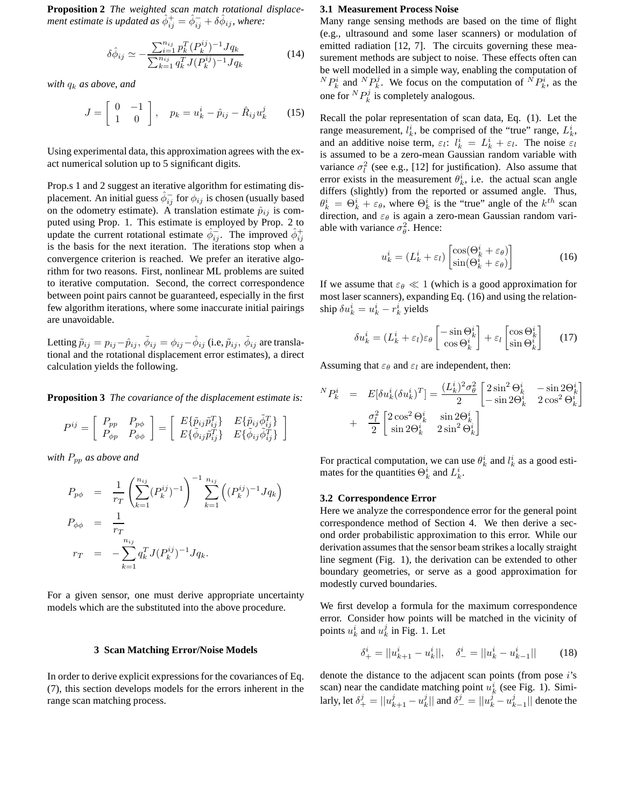**Proposition 2** *The weighted scan match rotational displace-* $\hat{\phi}_{ij}$  *ment estimate is updated as*  $\hat{\phi}_{ij}^{+} = \hat{\phi}_{ij}^{-} + \delta \hat{\phi}_{ij}$ *, where:* 

$$
\delta\hat{\phi}_{ij} \simeq -\frac{\sum_{i=1}^{n_{ij}} p_k^T (P_k^{ij})^{-1} J q_k}{\sum_{k=1}^{n_{ij}} q_k^T J (P_k^{ij})^{-1} J q_k}
$$
(14)

*with*  $q_k$  *as above, and* 

$$
J = \left[ \begin{array}{cc} 0 & -1 \\ 1 & 0 \end{array} \right], \quad p_k = u^i_k - \hat{p}_{ij} - \hat{R}_{ij}u^j_k \qquad (15)
$$

Using experimental data, this approximation agrees with the exact numerical solution up to 5 significant digits.

Prop.s 1 and 2 suggest an iterative algorithm for estimating displacement. An initial guess  $\hat{\phi}_{ij}^-$  for  $\check{\phi}_{ij}$  is chosen (usually based on the odometry estimate). A translation estimate  $\hat{p}_{ij}$  is computed using Prop. 1. This estimate is employed by Prop. 2 to update the current rotational estimate  $\hat{\phi}_{ij}^{-}$ . The improved  $\hat{\phi}_{ij}^{+}$ is the basis for the next iteration. The iterations stop when a convergence criterion is reached. We prefer an iterative algorithm for two reasons. First, nonlinear ML problems are suited to iterative computation. Second, the correct correspondence between point pairs cannot be guaranteed, especially in the first few algorithm iterations, where some inaccurate initial pairings are unavoidable.

Letting  $\tilde{p}_{ij} = p_{ij} - \hat{p}_{ij}, \, \tilde{\phi}_{ij} = \phi_{ij} - \hat{\phi}_{ij}$  (i.e,  $\tilde{p}_{ij}, \, \tilde{\phi}_{ij}$  are translational and the rotational displacement error estimates), a direct calculation yields the following.

**Proposition 3** *The covariance of the displacement estimate is:*

$$
P^{ij} = \left[ \begin{array}{cc} P_{pp} & P_{p\phi} \\ P_{\phi p} & P_{\phi \phi} \end{array} \right] = \left[ \begin{array}{cc} E\{\tilde{p}_{ij}\tilde{p}_{ij}^T\} & E\{\tilde{p}_{ij}\tilde{\phi}_{ij}^T\} \\ E\{\tilde{\phi}_{ij}\tilde{p}_{ij}^T\} & E\{\tilde{\phi}_{ij}\tilde{\phi}_{ij}^T\} \end{array} \right]
$$

*with* Ppp *as above and*

$$
P_{p\phi} = \frac{1}{r_T} \left( \sum_{k=1}^{n_{ij}} (P_k^{ij})^{-1} \right)^{-1} \sum_{k=1}^{n_{ij}} \left( (P_k^{ij})^{-1} J q_k \right)
$$
  
\n
$$
P_{\phi\phi} = \frac{1}{r_T}
$$
  
\n
$$
r_T = -\sum_{k=1}^{n_{ij}} q_k^T J (P_k^{ij})^{-1} J q_k.
$$

For a given sensor, one must derive appropriate uncertainty models which are the substituted into the above procedure.

#### **3 Scan Matching Error/Noise Models**

In order to derive explicit expressions for the covariances of Eq. (7), this section develops models for the errors inherent in the range scan matching process.

## **3.1 Measurement Process Noise**

Many range sensing methods are based on the time of flight (e.g., ultrasound and some laser scanners) or modulation of emitted radiation [12, 7]. The circuits governing these measurement methods are subject to noise. These effects often can be well modelled in a simple way, enabling the computation of  ${}^{N}P_{k}^{i}$  and  ${}^{N}P_{k}^{j}$ . We focus on the computation of  ${}^{N}P_{k}^{i}$ , as the one for  ${}^NP_k^j$  is completely analogous.

Recall the polar representation of scan data, Eq. (1). Let the range measurement,  $l_k^i$ , be comprised of the "true" range,  $L_k^i$ , and an additive noise term,  $\varepsilon_l$ :  $l_k^i = L_k^i + \varepsilon_l$ . The noise  $\varepsilon_l$ is assumed to be a zero-mean Gaussian random variable with variance  $\sigma_l^2$  (see e.g., [12] for justification). Also assume that error exists in the measurement  $\theta_k^i$ , i.e. the actual scan angle differs (slightly) from the reported or assumed angle. Thus,  $\theta_k^i = \Theta_k^i + \varepsilon_{\theta}$ , where  $\Theta_k^i$  is the "true" angle of the  $k^{th}$  scan direction, and  $\varepsilon_{\theta}$  is again a zero-mean Gaussian random variable with variance  $\sigma_{\theta}^2$ . Hence:

$$
u_k^i = (L_k^i + \varepsilon_l) \begin{bmatrix} \cos(\Theta_k^i + \varepsilon_\theta) \\ \sin(\Theta_k^i + \varepsilon_\theta) \end{bmatrix}
$$
 (16)

If we assume that  $\varepsilon_{\theta} \ll 1$  (which is a good approximation for most laser scanners), expanding Eq. (16) and using the relationship  $\delta u_k^i = u_k^i - r_k^i$  yields

$$
\delta u_k^i = (L_k^i + \varepsilon_l)\varepsilon_\theta \begin{bmatrix} -\sin \Theta_k^i \\ \cos \Theta_k^i \end{bmatrix} + \varepsilon_l \begin{bmatrix} \cos \Theta_k^i \\ \sin \Theta_k^i \end{bmatrix} \tag{17}
$$

Assuming that  $\varepsilon_{\theta}$  and  $\varepsilon_{l}$  are independent, then:

$$
{}^{N}P_{k}^{i} = E[\delta u_{k}^{i}(\delta u_{k}^{i})^{T}] = \frac{(L_{k}^{i})^{2}\sigma_{\theta}^{2}}{2} \begin{bmatrix} 2\sin^{2}\Theta_{k}^{i} & -\sin 2\Theta_{k}^{i} \\ -\sin 2\Theta_{k}^{i} & 2\cos^{2}\Theta_{k}^{i} \end{bmatrix} + \frac{\sigma_{l}^{2}}{2} \begin{bmatrix} 2\cos^{2}\Theta_{k}^{i} & \sin 2\Theta_{k}^{i} \\ \sin 2\Theta_{k}^{i} & 2\sin^{2}\Theta_{k}^{i} \end{bmatrix}
$$

For practical computation, we can use  $\theta_k^i$  and  $l_k^i$  as a good estimates for the quantities  $\Theta_k^i$  and  $L_k^i$ .

# **3.2 Correspondence Error**

Here we analyze the correspondence error for the general point correspondence method of Section 4. We then derive a second order probabilistic approximation to this error. While our derivation assumes that the sensor beam strikes a locally straight line segment (Fig. 1), the derivation can be extended to other boundary geometries, or serve as a good approximation for modestly curved boundaries.

We first develop a formula for the maximum correspondence error. Consider how points will be matched in the vicinity of points  $u_k^i$  and  $u_k^j$  in Fig. 1. Let

$$
\delta^i_+ = ||u^i_{k+1} - u^i_k||, \quad \delta^i_- = ||u^i_k - u^i_{k-1}|| \tag{18}
$$

denote the distance to the adjacent scan points (from pose i's scan) near the candidate matching point  $u_k^i$  (see Fig. 1). Similarly, let  $\delta^j_+ = ||u^j_{k+1} - u^j_{k}||$  and  $\delta^j_- = ||u^j_{k} - u^j_{k-1}||$  denote the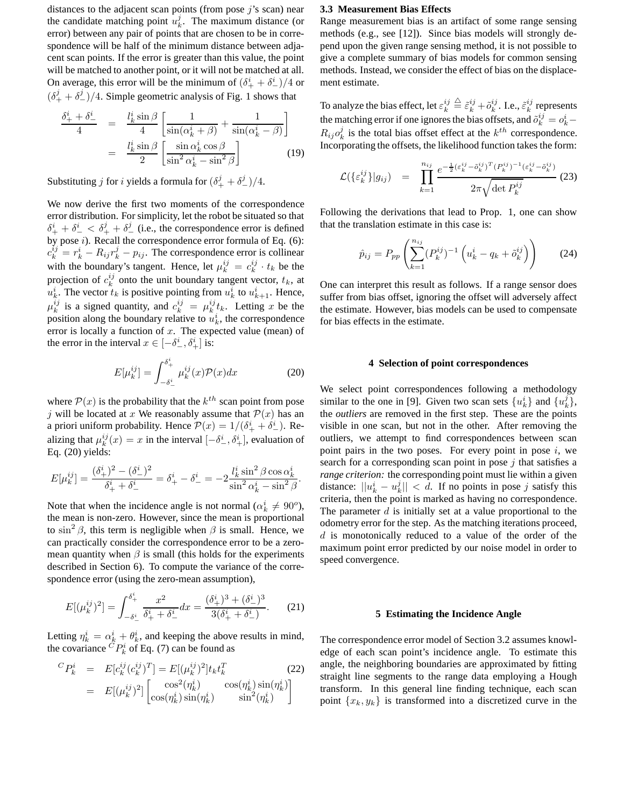distances to the adjacent scan points (from pose  $j$ 's scan) near the candidate matching point  $u_k^j$ . The maximum distance (or error) between any pair of points that are chosen to be in correspondence will be half of the minimum distance between adjacent scan points. If the error is greater than this value, the point will be matched to another point, or it will not be matched at all. On average, this error will be the minimum of  $(\delta^i_+ + \delta^i_-)/4$  or  $(\delta^j_+ + \delta^j_-)/4$ . Simple geometric analysis of Fig. 1 shows that

$$
\frac{\delta_{+}^{i} + \delta_{-}^{i}}{4} = \frac{l_{k}^{i} \sin \beta}{4} \left[ \frac{1}{\sin(\alpha_{k}^{i} + \beta)} + \frac{1}{\sin(\alpha_{k}^{i} - \beta)} \right]
$$

$$
= \frac{l_{k}^{i} \sin \beta}{2} \left[ \frac{\sin \alpha_{k}^{i} \cos \beta}{\sin^{2} \alpha_{k}^{i} - \sin^{2} \beta} \right]
$$
(19)

Substituting  $j$  for  $i$  yields a formula for  $(\delta_+^j + \delta_-^j)/4$ .

We now derive the first two moments of the correspondence error distribution. For simplicity, let the robot be situated so that  $\delta^i_+ + \delta^i_- < \delta^j_+ + \delta^j_-$  (i.e., the correspondence error is defined by pose i). Recall the correspondence error formula of Eq. (6):  $c_k^{ij} = r_k^i - R_{ij}r_k^j - p_{ij}$ . The correspondence error is collinear with the boundary's tangent. Hence, let  $\mu_k^{ij} = c_k^{ij} \cdot t_k$  be the projection of  $c_k^{ij}$  onto the unit boundary tangent vector,  $t_k$ , at  $u_k^i$ . The vector  $t_k$  is positive pointing from  $u_k^i$  to  $u_{k+1}^i$ . Hence,  $\mu_k^{ij}$  is a signed quantity, and  $c_k^{ij} = \mu_k^{ij} t_k$ . Letting x be the position along the boundary relative to  $u_k^i$ , the correspondence error is locally a function of  $x$ . The expected value (mean) of the error in the interval  $x \in [-\delta^i_-, \delta^i_+]$  is:

$$
E[\mu_k^{ij}] = \int_{-\delta_-^i}^{\delta_+^i} \mu_k^{ij}(x) \mathcal{P}(x) dx \tag{20}
$$

where  $P(x)$  is the probability that the  $k^{th}$  scan point from pose j will be located at x We reasonably assume that  $\mathcal{P}(x)$  has an a priori uniform probability. Hence  $\mathcal{P}(x) = 1/(\delta^i_+ + \delta^i_-)$ . Realizing that  $\mu_k^{ij}(x) = x$  in the interval  $\left[-\delta^i_-, \delta^i_+\right]$ , evaluation of Eq. (20) yields:

$$
E[\mu_k^{ij}] = \frac{(\delta_+^i)^2 - (\delta_-^i)^2}{\delta_+^i + \delta_-^i} = \delta_+^i - \delta_-^i = -2\frac{l_k^i \sin^2 \beta \cos \alpha_k^i}{\sin^2 \alpha_k^i - \sin^2 \beta}.
$$

Note that when the incidence angle is not normal ( $\alpha_k^i \neq 90^\circ$ ), the mean is non-zero. However, since the mean is proportional to  $\sin^2 \beta$ , this term is negligible when  $\beta$  is small. Hence, we can practically consider the correspondence error to be a zeromean quantity when  $\beta$  is small (this holds for the experiments described in Section 6). To compute the variance of the correspondence error (using the zero-mean assumption),

$$
E[(\mu_k^{ij})^2] = \int_{-\delta_-^i}^{\delta_+^i} \frac{x^2}{\delta_+^i + \delta_-^i} dx = \frac{(\delta_+^i)^3 + (\delta_-^i)^3}{3(\delta_+^i + \delta_-^i)}.
$$
 (21)

Letting  $\eta_k^i = \alpha_k^i + \theta_k^i$ , and keeping the above results in mind, the covariance  ${}^C P_k^i$  of Eq. (7) can be found as

$$
{}^{C}P_{k}^{i} = E[c_{k}^{ij}(c_{k}^{ij})^{T}] = E[(\mu_{k}^{ij})^{2}]t_{k}t_{k}^{T}
$$
\n
$$
= E[(\mu_{k}^{ij})^{2}] \begin{bmatrix} \cos^{2}(\eta_{k}^{i}) & \cos(\eta_{k}^{i})\sin(\eta_{k}^{i})\\ \cos(\eta_{k}^{i})\sin(\eta_{k}^{i}) & \sin^{2}(\eta_{k}^{i}) \end{bmatrix}
$$

## **3.3 Measurement Bias Effects**

Range measurement bias is an artifact of some range sensing methods (e.g., see [12]). Since bias models will strongly depend upon the given range sensing method, it is not possible to give a complete summary of bias models for common sensing methods. Instead, we consider the effect of bias on the displacement estimate.

To analyze the bias effect, let  $\varepsilon_k^{ij}$  $\stackrel{\triangle}{=} \tilde{\varepsilon}_k^{ij} + \tilde{o}_k^{ij}$ . I.e.,  $\tilde{\varepsilon}_k^{ij}$  represents the matching error if one ignores the bias offsets, and  $\tilde{o}_k^{ij} = o_k^i$  —  $R_{ij}o_k^j$  is the total bias offset effect at the  $k^{th}$  correspondence. Incorporating the offsets, the likelihood function takes the form:

$$
\mathcal{L}(\{\varepsilon_k^{ij}\}|g_{ij}) = \prod_{k=1}^{n_{ij}} \frac{e^{-\frac{1}{2}(\varepsilon_k^{ij} - \tilde{\sigma}_k^{ij})^T (P_k^{ij})^{-1}(\varepsilon_k^{ij} - \tilde{\sigma}_k^{ij})}}{2\pi\sqrt{\det P_k^{ij}}}
$$
(23)

Following the derivations that lead to Prop. 1, one can show that the translation estimate in this case is:

$$
\hat{p}_{ij} = P_{pp} \left( \sum_{k=1}^{n_{ij}} (P_k^{ij})^{-1} \left( u_k^i - q_k + \tilde{o}_k^{ij} \right) \right) \tag{24}
$$

One can interpret this result as follows. If a range sensor does suffer from bias offset, ignoring the offset will adversely affect the estimate. However, bias models can be used to compensate for bias effects in the estimate.

# **4 Selection of point correspondences**

We select point correspondences following a methodology similar to the one in [9]. Given two scan sets  $\{u_k^i\}$  and  $\{u_k^j\}$ , the *outliers* are removed in the first step. These are the points visible in one scan, but not in the other. After removing the outliers, we attempt to find correspondences between scan point pairs in the two poses. For every point in pose  $i$ , we search for a corresponding scan point in pose  $j$  that satisfies a *range criterion:* the corresponding point must lie within a given distance:  $||u_k^i - u_k^j|| < d$ . If no points in pose j satisfy this criteria, then the point is marked as having no correspondence. The parameter  $d$  is initially set at a value proportional to the odometry error for the step. As the matching iterations proceed,  $d$  is monotonically reduced to a value of the order of the maximum point error predicted by our noise model in order to speed convergence.

#### **5 Estimating the Incidence Angle**

The correspondence error model of Section 3.2 assumes knowledge of each scan point's incidence angle. To estimate this angle, the neighboring boundaries are approximated by fitting straight line segments to the range data employing a Hough transform. In this general line finding technique, each scan point  $\{x_k, y_k\}$  is transformed into a discretized curve in the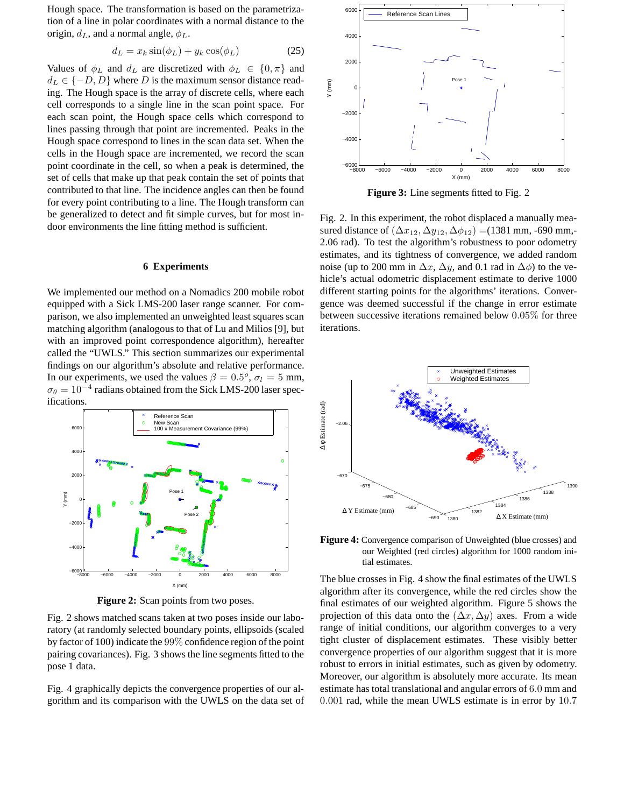Hough space. The transformation is based on the parametrization of a line in polar coordinates with a normal distance to the origin,  $d_L$ , and a normal angle,  $\phi_L$ .

$$
d_L = x_k \sin(\phi_L) + y_k \cos(\phi_L) \tag{25}
$$

Values of  $\phi_L$  and  $d_L$  are discretized with  $\phi_L \in \{0, \pi\}$  and  $d_L \in \{-D, D\}$  where D is the maximum sensor distance reading. The Hough space is the array of discrete cells, where each cell corresponds to a single line in the scan point space. For each scan point, the Hough space cells which correspond to lines passing through that point are incremented. Peaks in the Hough space correspond to lines in the scan data set. When the cells in the Hough space are incremented, we record the scan point coordinate in the cell, so when a peak is determined, the set of cells that make up that peak contain the set of points that contributed to that line. The incidence angles can then be found for every point contributing to a line. The Hough transform can be generalized to detect and fit simple curves, but for most indoor environments the line fitting method is sufficient.

# **6 Experiments**

We implemented our method on a Nomadics 200 mobile robot equipped with a Sick LMS-200 laser range scanner. For comparison, we also implemented an unweighted least squares scan matching algorithm (analogous to that of Lu and Milios [9], but with an improved point correspondence algorithm), hereafter called the "UWLS." This section summarizes our experimental findings on our algorithm's absolute and relative performance. In our experiments, we used the values  $\beta = 0.5^{\circ}, \sigma_l = 5$  mm,  $\sigma_{\theta} = 10^{-4}$  radians obtained from the Sick LMS-200 laser specifications.



**Figure 2:** Scan points from two poses.

Fig. 2 shows matched scans taken at two poses inside our laboratory (at randomly selected boundary points, ellipsoids (scaled by factor of 100) indicate the 99% confidence region of the point pairing covariances). Fig. 3 shows the line segments fitted to the pose 1 data.

Fig. 4 graphically depicts the convergence properties of our algorithm and its comparison with the UWLS on the data set of



**Figure 3:** Line segments fitted to Fig. 2

Fig. 2. In this experiment, the robot displaced a manually measured distance of  $(\Delta x_{12}, \Delta y_{12}, \Delta \phi_{12}) = (1381 \text{ mm}, -690 \text{ mm}, -690 \text{ mm})$ 2.06 rad). To test the algorithm's robustness to poor odometry estimates, and its tightness of convergence, we added random noise (up to 200 mm in  $\Delta x$ ,  $\Delta y$ , and 0.1 rad in  $\Delta \phi$ ) to the vehicle's actual odometric displacement estimate to derive 1000 different starting points for the algorithms' iterations. Convergence was deemed successful if the change in error estimate between successive iterations remained below 0.05% for three iterations.



**Figure 4:** Convergence comparison of Unweighted (blue crosses) and our Weighted (red circles) algorithm for 1000 random initial estimates.

The blue crosses in Fig. 4 show the final estimates of the UWLS algorithm after its convergence, while the red circles show the final estimates of our weighted algorithm. Figure 5 shows the projection of this data onto the  $(\Delta x, \Delta y)$  axes. From a wide range of initial conditions, our algorithm converges to a very tight cluster of displacement estimates. These visibly better convergence properties of our algorithm suggest that it is more robust to errors in initial estimates, such as given by odometry. Moreover, our algorithm is absolutely more accurate. Its mean estimate has total translational and angular errors of 6.0 mm and 0.001 rad, while the mean UWLS estimate is in error by 10.7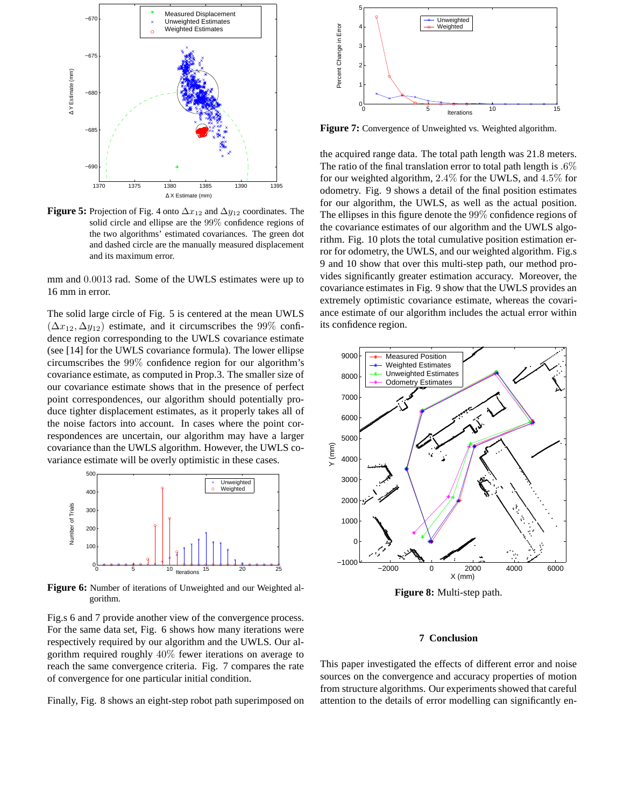

**Figure 5:** Projection of Fig. 4 onto  $\Delta x_{12}$  and  $\Delta y_{12}$  coordinates. The solid circle and ellipse are the 99% confidence regions of the two algorithms' estimated covariances. The green dot and dashed circle are the manually measured displacement and its maximum error.

mm and 0.0013 rad. Some of the UWLS estimates were up to 16 mm in error.

The solid large circle of Fig. 5 is centered at the mean UWLS  $(\Delta x_{12}, \Delta y_{12})$  estimate, and it circumscribes the 99% confidence region corresponding to the UWLS covariance estimate (see [14] for the UWLS covariance formula). The lower ellipse circumscribes the 99% confidence region for our algorithm's covariance estimate, as computed in Prop.3. The smaller size of our covariance estimate shows that in the presence of perfect point correspondences, our algorithm should potentially produce tighter displacement estimates, as it properly takes all of the noise factors into account. In cases where the point correspondences are uncertain, our algorithm may have a larger covariance than the UWLS algorithm. However, the UWLS covariance estimate will be overly optimistic in these cases.



**Figure 6:** Number of iterations of Unweighted and our Weighted algorithm.

Fig.s 6 and 7 provide another view of the convergence process. For the same data set, Fig. 6 shows how many iterations were respectively required by our algorithm and the UWLS. Our algorithm required roughly 40% fewer iterations on average to reach the same convergence criteria. Fig. 7 compares the rate of convergence for one particular initial condition.

Finally, Fig. 8 shows an eight-step robot path superimposed on



**Figure 7:** Convergence of Unweighted vs. Weighted algorithm.

the acquired range data. The total path length was 21.8 meters. The ratio of the final translation error to total path length is  $.6\%$ for our weighted algorithm, 2.4% for the UWLS, and 4.5% for odometry. Fig. 9 shows a detail of the final position estimates for our algorithm, the UWLS, as well as the actual position. The ellipses in this figure denote the 99% confidence regions of the covariance estimates of our algorithm and the UWLS algorithm. Fig. 10 plots the total cumulative position estimation error for odometry, the UWLS, and our weighted algorithm. Fig.s 9 and 10 show that over this multi-step path, our method provides significantly greater estimation accuracy. Moreover, the covariance estimates in Fig. 9 show that the UWLS provides an extremely optimistic covariance estimate, whereas the covariance estimate of our algorithm includes the actual error within its confidence region.



**Figure 8:** Multi-step path.

# **7 Conclusion**

This paper investigated the effects of different error and noise sources on the convergence and accuracy properties of motion from structure algorithms. Our experiments showed that careful attention to the details of error modelling can significantly en-